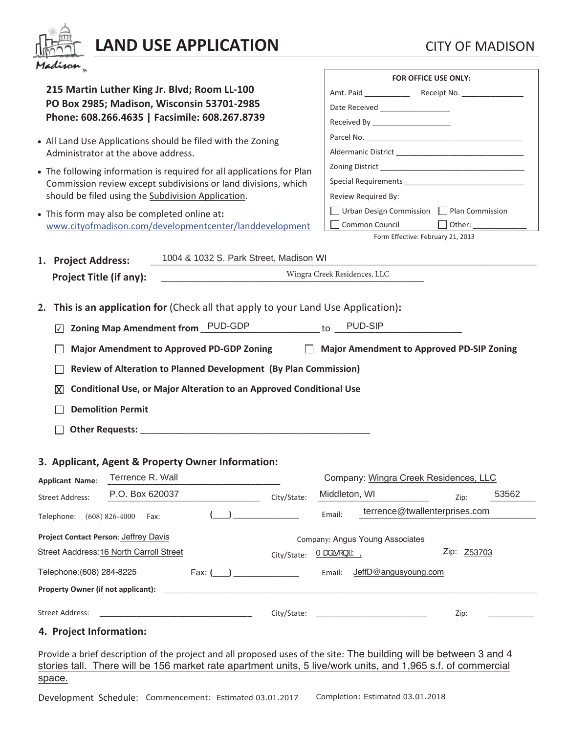| Jadiro |  |
|--------|--|

# **LAND USE APPLICATION** CITY OF MADISON

|                                                                                                                    | <b>FOR OFFICE USE ONLY:</b>                                      |  |  |
|--------------------------------------------------------------------------------------------------------------------|------------------------------------------------------------------|--|--|
| 215 Martin Luther King Jr. Blvd; Room LL-100                                                                       |                                                                  |  |  |
| PO Box 2985; Madison, Wisconsin 53701-2985                                                                         | Date Received ___________________                                |  |  |
| Phone: 608.266.4635   Facsimile: 608.267.8739                                                                      | Received By _______________________                              |  |  |
| • All Land Use Applications should be filed with the Zoning                                                        |                                                                  |  |  |
| Administrator at the above address.                                                                                |                                                                  |  |  |
| • The following information is required for all applications for Plan                                              |                                                                  |  |  |
| Commission review except subdivisions or land divisions, which                                                     |                                                                  |  |  |
| should be filed using the Subdivision Application.                                                                 | Review Required By:                                              |  |  |
| • This form may also be completed online at:                                                                       | □ Urban Design Commission □ Plan Commission                      |  |  |
| www.cityofmadison.com/developmentcenter/landdevelopment                                                            | Common Council<br>Other: _____________                           |  |  |
|                                                                                                                    | Form Effective: February 21, 2013                                |  |  |
| 1004 & 1032 S. Park Street, Madison WI<br>1. Project Address:                                                      |                                                                  |  |  |
|                                                                                                                    | Wingra Creek Residences, LLC                                     |  |  |
| <b>Project Title (if any):</b>                                                                                     |                                                                  |  |  |
|                                                                                                                    |                                                                  |  |  |
| This is an application for (Check all that apply to your Land Use Application):<br>2.                              |                                                                  |  |  |
| Zoning Map Amendment from PUD-GDP<br>∣✓∣                                                                           | PUD-SIP<br>to                                                    |  |  |
| <b>Major Amendment to Approved PD-GDP Zoning</b><br>$\Box$                                                         | <b>Major Amendment to Approved PD-SIP Zoning</b>                 |  |  |
|                                                                                                                    |                                                                  |  |  |
| Review of Alteration to Planned Development (By Plan Commission)                                                   |                                                                  |  |  |
| <b>Conditional Use, or Major Alteration to an Approved Conditional Use</b><br>ΙXΙ                                  |                                                                  |  |  |
| <b>Demolition Permit</b>                                                                                           |                                                                  |  |  |
|                                                                                                                    |                                                                  |  |  |
|                                                                                                                    |                                                                  |  |  |
|                                                                                                                    |                                                                  |  |  |
| 3. Applicant, Agent & Property Owner Information:                                                                  |                                                                  |  |  |
| Terrence R. Wall<br><b>Applicant Name:</b>                                                                         | Company: Wingra Creek Residences, LLC                            |  |  |
| P.O. Box 620037<br>City/State:<br><b>Street Address:</b>                                                           | Middleton, WI<br>53562<br>Zip:                                   |  |  |
|                                                                                                                    | terrence@twallenterprises.com                                    |  |  |
| Telephone: (608) 826-4000<br>Fax:                                                                                  | Email:                                                           |  |  |
| Project Contact Person: Jeffrey Davis                                                                              | Company: Angus Young Associates                                  |  |  |
| Street Aaddress: 16 North Carroll Street<br>City/State:                                                            | <u>Tæåãr }ÉÁYQ</u><br>Zip: Z53703                                |  |  |
|                                                                                                                    | JeffD@angusyoung.com<br>Email:                                   |  |  |
| Telephone: (608) 284-8225<br>Fax: (                                                                                |                                                                  |  |  |
| Property Owner (if not applicant):                                                                                 |                                                                  |  |  |
| <b>Street Address:</b><br>City/State:                                                                              | Zip:<br><u> 1989 - Johann John Stone, mars eta biztanleria (</u> |  |  |
|                                                                                                                    |                                                                  |  |  |
| 4. Project Information:                                                                                            |                                                                  |  |  |
| Provide a brief description of the project and all proposed uses of the site: The building will be between 3 and 4 |                                                                  |  |  |
| stories tall. There will be 156 market rate apartment units, 5 live/work units, and 1,965 s.f. of commercial       |                                                                  |  |  |
| space.                                                                                                             |                                                                  |  |  |

 $\blacksquare$